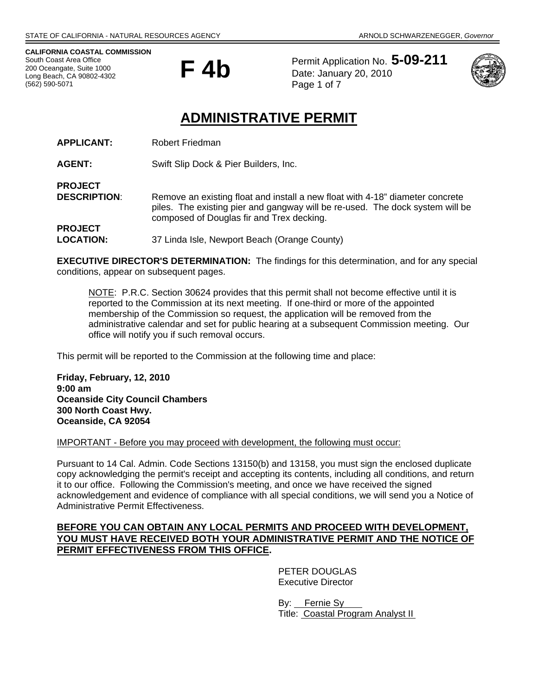**CALIFORNIA COASTAL COMMISSION**  South Coast Area Office 200 Oceangate, Suite 1000 Long Beach, CA 90802-4302 (562) 590-5071



Permit Application No. **5-09-211** Date: January 20, 2010 Page 1 of 7



# **ADMINISTRATIVE PERMIT**

| <b>APPLICANT:</b> | Robert Friedman |
|-------------------|-----------------|
|-------------------|-----------------|

**AGENT:** Swift Slip Dock & Pier Builders, Inc.

**PROJECT DESCRIPTION:** Remove an existing float and install a new float with 4-18" diameter concrete piles. The existing pier and gangway will be re-used. The dock system will be composed of Douglas fir and Trex decking. **PROJECT** 

**LOCATION:** 37 Linda Isle, Newport Beach (Orange County)

**EXECUTIVE DIRECTOR'S DETERMINATION:** The findings for this determination, and for any special conditions, appear on subsequent pages.

NOTE: P.R.C. Section 30624 provides that this permit shall not become effective until it is reported to the Commission at its next meeting. If one-third or more of the appointed membership of the Commission so request, the application will be removed from the administrative calendar and set for public hearing at a subsequent Commission meeting. Our office will notify you if such removal occurs.

This permit will be reported to the Commission at the following time and place:

**Friday, February, 12, 2010 9:00 am Oceanside City Council Chambers 300 North Coast Hwy. Oceanside, CA 92054** 

IMPORTANT - Before you may proceed with development, the following must occur:

Pursuant to 14 Cal. Admin. Code Sections 13150(b) and 13158, you must sign the enclosed duplicate copy acknowledging the permit's receipt and accepting its contents, including all conditions, and return it to our office. Following the Commission's meeting, and once we have received the signed acknowledgement and evidence of compliance with all special conditions, we will send you a Notice of Administrative Permit Effectiveness.

## **BEFORE YOU CAN OBTAIN ANY LOCAL PERMITS AND PROCEED WITH DEVELOPMENT, YOU MUST HAVE RECEIVED BOTH YOUR ADMINISTRATIVE PERMIT AND THE NOTICE OF PERMIT EFFECTIVENESS FROM THIS OFFICE.**

 PETER DOUGLAS Executive Director

 By: Fernie Sy Title: Coastal Program Analyst II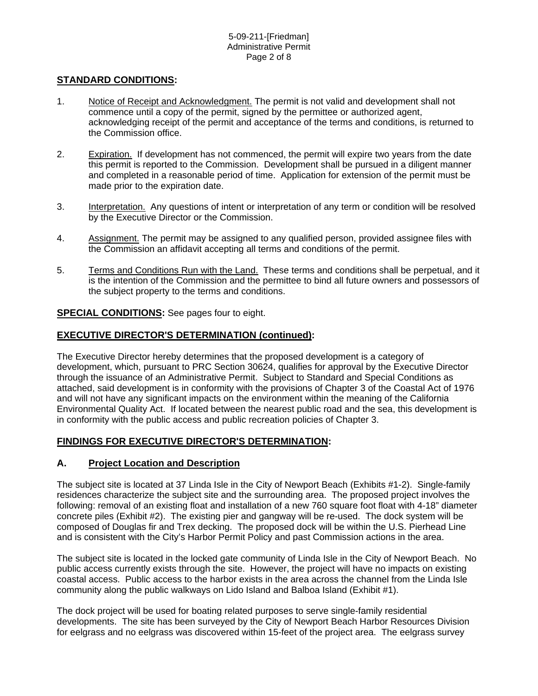## **STANDARD CONDITIONS:**

- 1. Notice of Receipt and Acknowledgment. The permit is not valid and development shall not commence until a copy of the permit, signed by the permittee or authorized agent, acknowledging receipt of the permit and acceptance of the terms and conditions, is returned to the Commission office.
- 2. Expiration. If development has not commenced, the permit will expire two years from the date this permit is reported to the Commission. Development shall be pursued in a diligent manner and completed in a reasonable period of time. Application for extension of the permit must be made prior to the expiration date.
- 3. Interpretation. Any questions of intent or interpretation of any term or condition will be resolved by the Executive Director or the Commission.
- 4. Assignment. The permit may be assigned to any qualified person, provided assignee files with the Commission an affidavit accepting all terms and conditions of the permit.
- 5. Terms and Conditions Run with the Land. These terms and conditions shall be perpetual, and it is the intention of the Commission and the permittee to bind all future owners and possessors of the subject property to the terms and conditions.

## **SPECIAL CONDITIONS:** See pages four to eight.

## **EXECUTIVE DIRECTOR'S DETERMINATION (continued):**

The Executive Director hereby determines that the proposed development is a category of development, which, pursuant to PRC Section 30624, qualifies for approval by the Executive Director through the issuance of an Administrative Permit. Subject to Standard and Special Conditions as attached, said development is in conformity with the provisions of Chapter 3 of the Coastal Act of 1976 and will not have any significant impacts on the environment within the meaning of the California Environmental Quality Act. If located between the nearest public road and the sea, this development is in conformity with the public access and public recreation policies of Chapter 3.

# **FINDINGS FOR EXECUTIVE DIRECTOR'S DETERMINATION:**

# **A. Project Location and Description**

The subject site is located at 37 Linda Isle in the City of Newport Beach (Exhibits #1-2). Single-family residences characterize the subject site and the surrounding area. The proposed project involves the following: removal of an existing float and installation of a new 760 square foot float with 4-18" diameter concrete piles (Exhibit #2). The existing pier and gangway will be re-used. The dock system will be composed of Douglas fir and Trex decking. The proposed dock will be within the U.S. Pierhead Line and is consistent with the City's Harbor Permit Policy and past Commission actions in the area.

The subject site is located in the locked gate community of Linda Isle in the City of Newport Beach. No public access currently exists through the site. However, the project will have no impacts on existing coastal access. Public access to the harbor exists in the area across the channel from the Linda Isle community along the public walkways on Lido Island and Balboa Island (Exhibit #1).

The dock project will be used for boating related purposes to serve single-family residential developments. The site has been surveyed by the City of Newport Beach Harbor Resources Division for eelgrass and no eelgrass was discovered within 15-feet of the project area. The eelgrass survey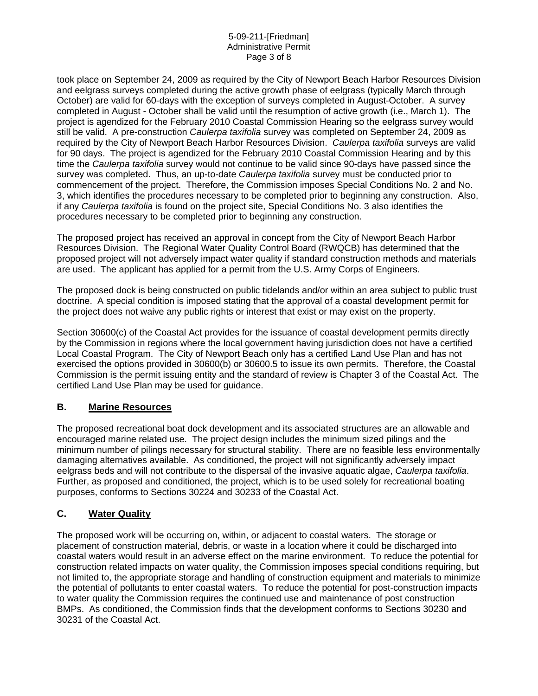#### 5-09-211-[Friedman] Administrative Permit Page 3 of 8

took place on September 24, 2009 as required by the City of Newport Beach Harbor Resources Division and eelgrass surveys completed during the active growth phase of eelgrass (typically March through October) are valid for 60-days with the exception of surveys completed in August-October. A survey completed in August - October shall be valid until the resumption of active growth (i.e., March 1). The project is agendized for the February 2010 Coastal Commission Hearing so the eelgrass survey would still be valid. A pre-construction *Caulerpa taxifolia* survey was completed on September 24, 2009 as required by the City of Newport Beach Harbor Resources Division. *Caulerpa taxifolia* surveys are valid for 90 days. The project is agendized for the February 2010 Coastal Commission Hearing and by this time the *Caulerpa taxifolia* survey would not continue to be valid since 90-days have passed since the survey was completed. Thus, an up-to-date *Caulerpa taxifolia* survey must be conducted prior to commencement of the project. Therefore, the Commission imposes Special Conditions No. 2 and No. 3, which identifies the procedures necessary to be completed prior to beginning any construction. Also, if any *Caulerpa taxifolia* is found on the project site, Special Conditions No. 3 also identifies the procedures necessary to be completed prior to beginning any construction.

The proposed project has received an approval in concept from the City of Newport Beach Harbor Resources Division. The Regional Water Quality Control Board (RWQCB) has determined that the proposed project will not adversely impact water quality if standard construction methods and materials are used. The applicant has applied for a permit from the U.S. Army Corps of Engineers.

The proposed dock is being constructed on public tidelands and/or within an area subject to public trust doctrine. A special condition is imposed stating that the approval of a coastal development permit for the project does not waive any public rights or interest that exist or may exist on the property.

Section 30600(c) of the Coastal Act provides for the issuance of coastal development permits directly by the Commission in regions where the local government having jurisdiction does not have a certified Local Coastal Program. The City of Newport Beach only has a certified Land Use Plan and has not exercised the options provided in 30600(b) or 30600.5 to issue its own permits. Therefore, the Coastal Commission is the permit issuing entity and the standard of review is Chapter 3 of the Coastal Act. The certified Land Use Plan may be used for guidance.

# **B. Marine Resources**

The proposed recreational boat dock development and its associated structures are an allowable and encouraged marine related use. The project design includes the minimum sized pilings and the minimum number of pilings necessary for structural stability. There are no feasible less environmentally damaging alternatives available. As conditioned, the project will not significantly adversely impact eelgrass beds and will not contribute to the dispersal of the invasive aquatic algae, *Caulerpa taxifolia*. Further, as proposed and conditioned, the project, which is to be used solely for recreational boating purposes, conforms to Sections 30224 and 30233 of the Coastal Act.

# **C. Water Quality**

The proposed work will be occurring on, within, or adjacent to coastal waters. The storage or placement of construction material, debris, or waste in a location where it could be discharged into coastal waters would result in an adverse effect on the marine environment. To reduce the potential for construction related impacts on water quality, the Commission imposes special conditions requiring, but not limited to, the appropriate storage and handling of construction equipment and materials to minimize the potential of pollutants to enter coastal waters. To reduce the potential for post-construction impacts to water quality the Commission requires the continued use and maintenance of post construction BMPs. As conditioned, the Commission finds that the development conforms to Sections 30230 and 30231 of the Coastal Act.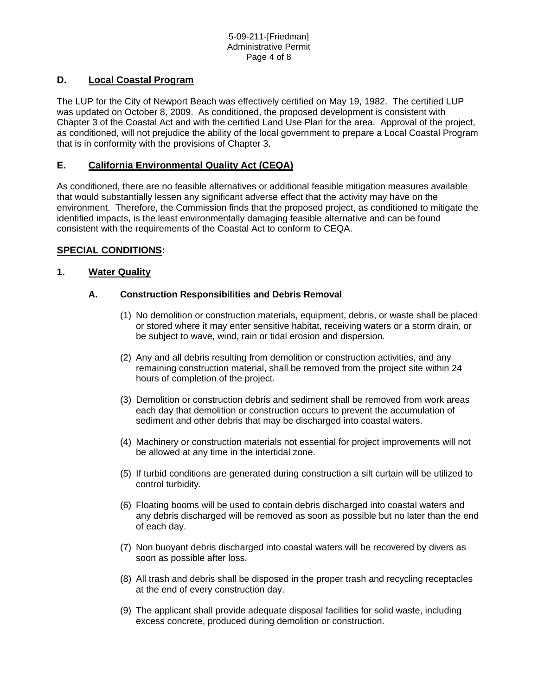# **D. Local Coastal Program**

The LUP for the City of Newport Beach was effectively certified on May 19, 1982. The certified LUP was updated on October 8, 2009. As conditioned, the proposed development is consistent with Chapter 3 of the Coastal Act and with the certified Land Use Plan for the area. Approval of the project, as conditioned, will not prejudice the ability of the local government to prepare a Local Coastal Program that is in conformity with the provisions of Chapter 3.

# **E. California Environmental Quality Act (CEQA)**

As conditioned, there are no feasible alternatives or additional feasible mitigation measures available that would substantially lessen any significant adverse effect that the activity may have on the environment. Therefore, the Commission finds that the proposed project, as conditioned to mitigate the identified impacts, is the least environmentally damaging feasible alternative and can be found consistent with the requirements of the Coastal Act to conform to CEQA.

# **SPECIAL CONDITIONS:**

# **1. Water Quality**

## **A. Construction Responsibilities and Debris Removal**

- (1) No demolition or construction materials, equipment, debris, or waste shall be placed or stored where it may enter sensitive habitat, receiving waters or a storm drain, or be subject to wave, wind, rain or tidal erosion and dispersion.
- (2) Any and all debris resulting from demolition or construction activities, and any remaining construction material, shall be removed from the project site within 24 hours of completion of the project.
- (3) Demolition or construction debris and sediment shall be removed from work areas each day that demolition or construction occurs to prevent the accumulation of sediment and other debris that may be discharged into coastal waters.
- (4) Machinery or construction materials not essential for project improvements will not be allowed at any time in the intertidal zone.
- (5) If turbid conditions are generated during construction a silt curtain will be utilized to control turbidity.
- (6) Floating booms will be used to contain debris discharged into coastal waters and any debris discharged will be removed as soon as possible but no later than the end of each day.
- (7) Non buoyant debris discharged into coastal waters will be recovered by divers as soon as possible after loss.
- (8) All trash and debris shall be disposed in the proper trash and recycling receptacles at the end of every construction day.
- (9) The applicant shall provide adequate disposal facilities for solid waste, including excess concrete, produced during demolition or construction.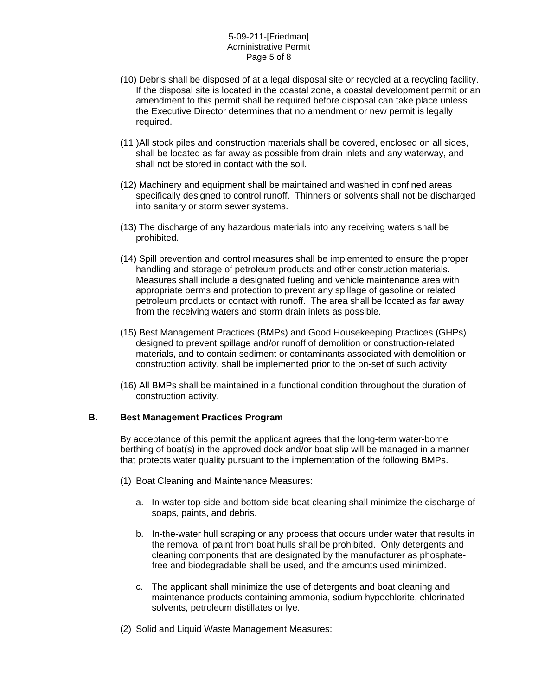#### 5-09-211-[Friedman] Administrative Permit Page 5 of 8

- (10) Debris shall be disposed of at a legal disposal site or recycled at a recycling facility. If the disposal site is located in the coastal zone, a coastal development permit or an amendment to this permit shall be required before disposal can take place unless the Executive Director determines that no amendment or new permit is legally required.
- (11 )All stock piles and construction materials shall be covered, enclosed on all sides, shall be located as far away as possible from drain inlets and any waterway, and shall not be stored in contact with the soil.
- (12) Machinery and equipment shall be maintained and washed in confined areas specifically designed to control runoff. Thinners or solvents shall not be discharged into sanitary or storm sewer systems.
- (13) The discharge of any hazardous materials into any receiving waters shall be prohibited.
- (14) Spill prevention and control measures shall be implemented to ensure the proper handling and storage of petroleum products and other construction materials. Measures shall include a designated fueling and vehicle maintenance area with appropriate berms and protection to prevent any spillage of gasoline or related petroleum products or contact with runoff. The area shall be located as far away from the receiving waters and storm drain inlets as possible.
- (15) Best Management Practices (BMPs) and Good Housekeeping Practices (GHPs) designed to prevent spillage and/or runoff of demolition or construction-related materials, and to contain sediment or contaminants associated with demolition or construction activity, shall be implemented prior to the on-set of such activity
- (16) All BMPs shall be maintained in a functional condition throughout the duration of construction activity.

#### **B. Best Management Practices Program**

By acceptance of this permit the applicant agrees that the long-term water-borne berthing of boat(s) in the approved dock and/or boat slip will be managed in a manner that protects water quality pursuant to the implementation of the following BMPs.

- (1) Boat Cleaning and Maintenance Measures:
	- a. In-water top-side and bottom-side boat cleaning shall minimize the discharge of soaps, paints, and debris.
	- b. In-the-water hull scraping or any process that occurs under water that results in the removal of paint from boat hulls shall be prohibited. Only detergents and cleaning components that are designated by the manufacturer as phosphatefree and biodegradable shall be used, and the amounts used minimized.
	- c. The applicant shall minimize the use of detergents and boat cleaning and maintenance products containing ammonia, sodium hypochlorite, chlorinated solvents, petroleum distillates or lye.
- (2) Solid and Liquid Waste Management Measures: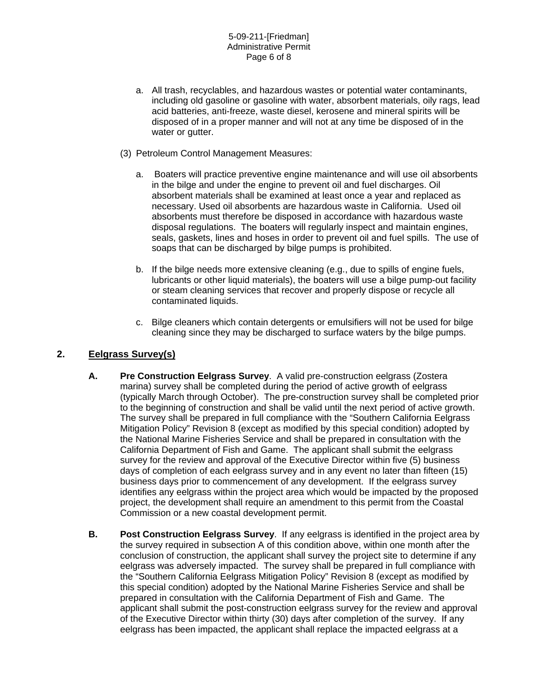- a. All trash, recyclables, and hazardous wastes or potential water contaminants, including old gasoline or gasoline with water, absorbent materials, oily rags, lead acid batteries, anti-freeze, waste diesel, kerosene and mineral spirits will be disposed of in a proper manner and will not at any time be disposed of in the water or gutter.
- (3) Petroleum Control Management Measures:
	- a. Boaters will practice preventive engine maintenance and will use oil absorbents in the bilge and under the engine to prevent oil and fuel discharges. Oil absorbent materials shall be examined at least once a year and replaced as necessary. Used oil absorbents are hazardous waste in California. Used oil absorbents must therefore be disposed in accordance with hazardous waste disposal regulations. The boaters will regularly inspect and maintain engines, seals, gaskets, lines and hoses in order to prevent oil and fuel spills. The use of soaps that can be discharged by bilge pumps is prohibited.
	- b. If the bilge needs more extensive cleaning (e.g., due to spills of engine fuels, lubricants or other liquid materials), the boaters will use a bilge pump-out facility or steam cleaning services that recover and properly dispose or recycle all contaminated liquids.
	- c. Bilge cleaners which contain detergents or emulsifiers will not be used for bilge cleaning since they may be discharged to surface waters by the bilge pumps.

# **2. Eelgrass Survey(s)**

- **A. Pre Construction Eelgrass Survey**. A valid pre-construction eelgrass (Zostera marina) survey shall be completed during the period of active growth of eelgrass (typically March through October). The pre-construction survey shall be completed prior to the beginning of construction and shall be valid until the next period of active growth. The survey shall be prepared in full compliance with the "Southern California Eelgrass Mitigation Policy" Revision 8 (except as modified by this special condition) adopted by the National Marine Fisheries Service and shall be prepared in consultation with the California Department of Fish and Game. The applicant shall submit the eelgrass survey for the review and approval of the Executive Director within five (5) business days of completion of each eelgrass survey and in any event no later than fifteen (15) business days prior to commencement of any development. If the eelgrass survey identifies any eelgrass within the project area which would be impacted by the proposed project, the development shall require an amendment to this permit from the Coastal Commission or a new coastal development permit.
- **B. Post Construction Eelgrass Survey**. If any eelgrass is identified in the project area by the survey required in subsection A of this condition above, within one month after the conclusion of construction, the applicant shall survey the project site to determine if any eelgrass was adversely impacted. The survey shall be prepared in full compliance with the "Southern California Eelgrass Mitigation Policy" Revision 8 (except as modified by this special condition) adopted by the National Marine Fisheries Service and shall be prepared in consultation with the California Department of Fish and Game. The applicant shall submit the post-construction eelgrass survey for the review and approval of the Executive Director within thirty (30) days after completion of the survey. If any eelgrass has been impacted, the applicant shall replace the impacted eelgrass at a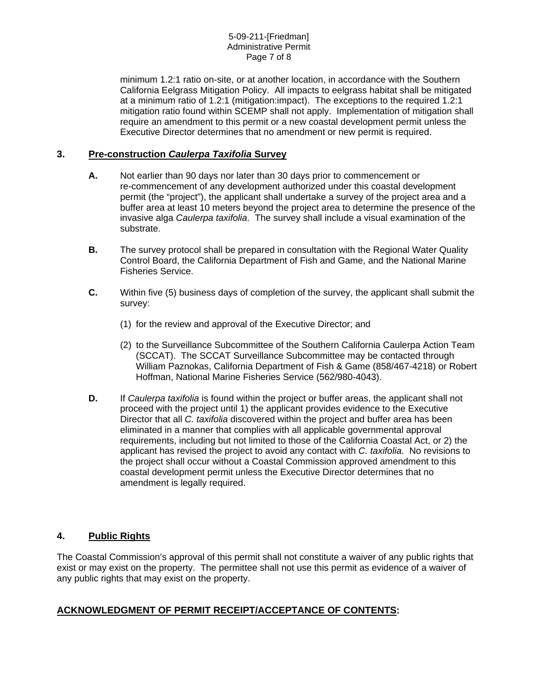minimum 1.2:1 ratio on-site, or at another location, in accordance with the Southern California Eelgrass Mitigation Policy. All impacts to eelgrass habitat shall be mitigated at a minimum ratio of 1.2:1 (mitigation:impact). The exceptions to the required 1.2:1 mitigation ratio found within SCEMP shall not apply. Implementation of mitigation shall require an amendment to this permit or a new coastal development permit unless the Executive Director determines that no amendment or new permit is required.

# **3. Pre-construction** *Caulerpa Taxifolia* **Survey**

- **A.** Not earlier than 90 days nor later than 30 days prior to commencement or re-commencement of any development authorized under this coastal development permit (the "project"), the applicant shall undertake a survey of the project area and a buffer area at least 10 meters beyond the project area to determine the presence of the invasive alga *Caulerpa taxifolia*. The survey shall include a visual examination of the substrate.
- **B.** The survey protocol shall be prepared in consultation with the Regional Water Quality Control Board, the California Department of Fish and Game, and the National Marine Fisheries Service.
- **C.** Within five (5) business days of completion of the survey, the applicant shall submit the survey:
	- (1) for the review and approval of the Executive Director; and
	- (2) to the Surveillance Subcommittee of the Southern California Caulerpa Action Team (SCCAT). The SCCAT Surveillance Subcommittee may be contacted through William Paznokas, California Department of Fish & Game (858/467-4218) or Robert Hoffman, National Marine Fisheries Service (562/980-4043).
- **D.** If *Caulerpa taxifolia* is found within the project or buffer areas, the applicant shall not proceed with the project until 1) the applicant provides evidence to the Executive Director that all *C. taxifolia* discovered within the project and buffer area has been eliminated in a manner that complies with all applicable governmental approval requirements, including but not limited to those of the California Coastal Act, or 2) the applicant has revised the project to avoid any contact with *C. taxifolia*. No revisions to the project shall occur without a Coastal Commission approved amendment to this coastal development permit unless the Executive Director determines that no amendment is legally required.

# **4. Public Rights**

The Coastal Commission's approval of this permit shall not constitute a waiver of any public rights that exist or may exist on the property. The permittee shall not use this permit as evidence of a waiver of any public rights that may exist on the property.

# **ACKNOWLEDGMENT OF PERMIT RECEIPT/ACCEPTANCE OF CONTENTS:**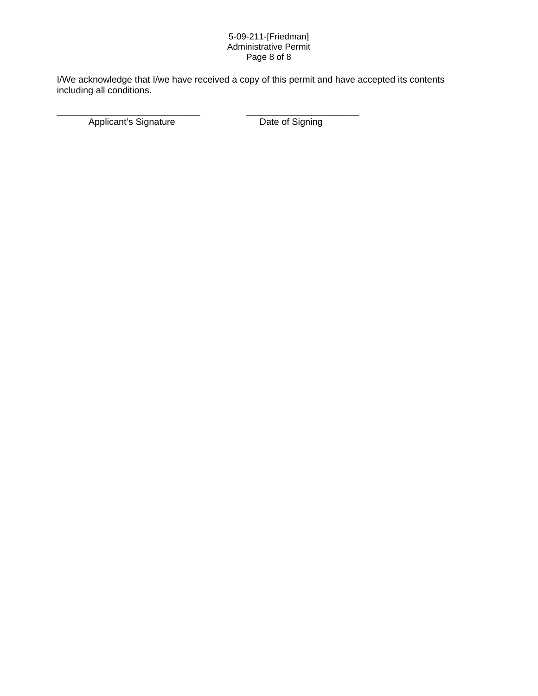#### 5-09-211-[Friedman] Administrative Permit Page 8 of 8

I/We acknowledge that I/we have received a copy of this permit and have accepted its contents including all conditions.

\_\_\_\_\_\_\_\_\_\_\_\_\_\_\_\_\_\_\_\_\_\_\_\_\_\_\_\_ \_\_\_\_\_\_\_\_\_\_\_\_\_\_\_\_\_\_\_\_\_\_

Applicant's Signature Date of Signing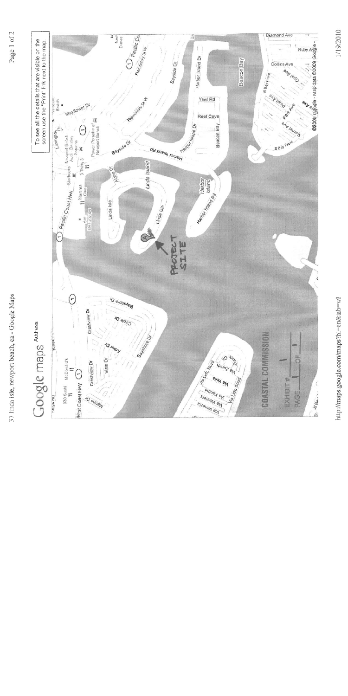